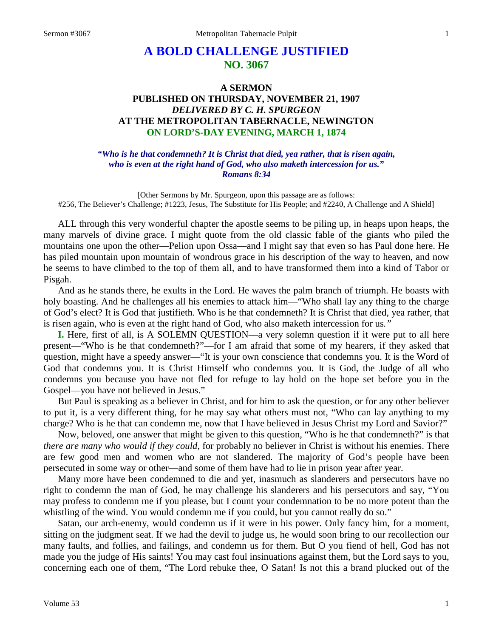# **A BOLD CHALLENGE JUSTIFIED NO. 3067**

# **A SERMON PUBLISHED ON THURSDAY, NOVEMBER 21, 1907** *DELIVERED BY C. H. SPURGEON* **AT THE METROPOLITAN TABERNACLE, NEWINGTON ON LORD'S-DAY EVENING, MARCH 1, 1874**

*"Who is he that condemneth? It is Christ that died, yea rather, that is risen again, who is even at the right hand of God, who also maketh intercession for us." Romans 8:34*

[Other Sermons by Mr. Spurgeon, upon this passage are as follows: #256, The Believer's Challenge; #1223, Jesus, The Substitute for His People; and #2240, A Challenge and A Shield]

ALL through this very wonderful chapter the apostle seems to be piling up, in heaps upon heaps, the many marvels of divine grace. I might quote from the old classic fable of the giants who piled the mountains one upon the other—Pelion upon Ossa—and I might say that even so has Paul done here. He has piled mountain upon mountain of wondrous grace in his description of the way to heaven, and now he seems to have climbed to the top of them all, and to have transformed them into a kind of Tabor or Pisgah.

And as he stands there, he exults in the Lord. He waves the palm branch of triumph. He boasts with holy boasting. And he challenges all his enemies to attack him—"Who shall lay any thing to the charge of God's elect? It is God that justifieth. Who is he that condemneth? It is Christ that died, yea rather, that is risen again, who is even at the right hand of God, who also maketh intercession for us*."*

**I.** Here, first of all, is A SOLEMN QUESTION—a very solemn question if it were put to all here present—"Who is he that condemneth?"—for I am afraid that some of my hearers, if they asked that question, might have a speedy answer—"It is your own conscience that condemns you. It is the Word of God that condemns you. It is Christ Himself who condemns you. It is God, the Judge of all who condemns you because you have not fled for refuge to lay hold on the hope set before you in the Gospel—you have not believed in Jesus."

But Paul is speaking as a believer in Christ, and for him to ask the question, or for any other believer to put it, is a very different thing, for he may say what others must not, "Who can lay anything to my charge? Who is he that can condemn me, now that I have believed in Jesus Christ my Lord and Savior?"

Now, beloved, one answer that might be given to this question, "Who is he that condemneth?" is that *there are many who would if they could*, for probably no believer in Christ is without his enemies. There are few good men and women who are not slandered. The majority of God's people have been persecuted in some way or other—and some of them have had to lie in prison year after year.

Many more have been condemned to die and yet, inasmuch as slanderers and persecutors have no right to condemn the man of God, he may challenge his slanderers and his persecutors and say, "You may profess to condemn me if you please, but I count your condemnation to be no more potent than the whistling of the wind. You would condemn me if you could, but you cannot really do so."

Satan, our arch-enemy, would condemn us if it were in his power. Only fancy him, for a moment, sitting on the judgment seat. If we had the devil to judge us, he would soon bring to our recollection our many faults, and follies, and failings, and condemn us for them. But O you fiend of hell, God has not made you the judge of His saints! You may cast foul insinuations against them, but the Lord says to you, concerning each one of them, "The Lord rebuke thee, O Satan! Is not this a brand plucked out of the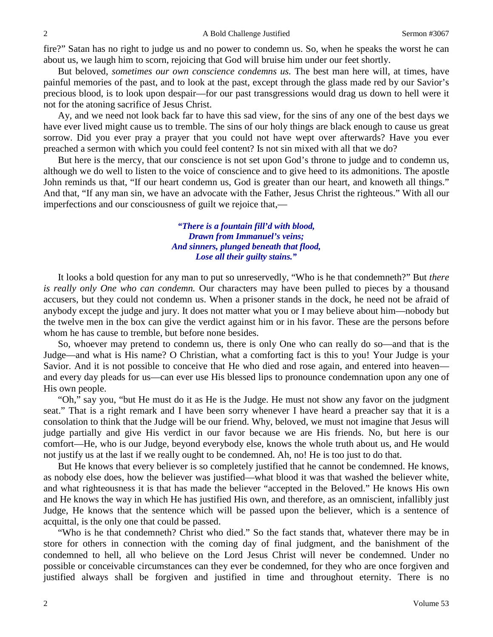fire?" Satan has no right to judge us and no power to condemn us. So, when he speaks the worst he can about us, we laugh him to scorn, rejoicing that God will bruise him under our feet shortly.

But beloved, *sometimes our own conscience condemns us.* The best man here will, at times, have painful memories of the past, and to look at the past, except through the glass made red by our Savior's precious blood, is to look upon despair—for our past transgressions would drag us down to hell were it not for the atoning sacrifice of Jesus Christ.

Ay, and we need not look back far to have this sad view, for the sins of any one of the best days we have ever lived might cause us to tremble. The sins of our holy things are black enough to cause us great sorrow. Did you ever pray a prayer that you could not have wept over afterwards? Have you ever preached a sermon with which you could feel content? Is not sin mixed with all that we do?

But here is the mercy*,* that our conscience is not set upon God's throne to judge and to condemn us, although we do well to listen to the voice of conscience and to give heed to its admonitions. The apostle John reminds us that, "If our heart condemn us, God is greater than our heart, and knoweth all things." And that, "If any man sin, we have an advocate with the Father, Jesus Christ the righteous." With all our imperfections and our consciousness of guilt we rejoice that,—

> *"There is a fountain fill'd with blood, Drawn from Immanuel's veins; And sinners, plunged beneath that flood, Lose all their guilty stains."*

It looks a bold question for any man to put so unreservedly, "Who is he that condemneth?" But *there is really only One who can condemn.* Our characters may have been pulled to pieces by a thousand accusers, but they could not condemn us. When a prisoner stands in the dock, he need not be afraid of anybody except the judge and jury. It does not matter what you or I may believe about him—nobody but the twelve men in the box can give the verdict against him or in his favor. These are the persons before whom he has cause to tremble, but before none besides.

So, whoever may pretend to condemn us, there is only One who can really do so—and that is the Judge—and what is His name? O Christian, what a comforting fact is this to you! Your Judge is your Savior. And it is not possible to conceive that He who died and rose again, and entered into heaven and every day pleads for us—can ever use His blessed lips to pronounce condemnation upon any one of His own people.

"Oh," say you, "but He must do it as He is the Judge. He must not show any favor on the judgment seat." That is a right remark and I have been sorry whenever I have heard a preacher say that it is a consolation to think that the Judge will be our friend. Why, beloved, we must not imagine that Jesus will judge partially and give His verdict in our favor because we are His friends. No, but here is our comfort—He, who is our Judge, beyond everybody else, knows the whole truth about us, and He would not justify us at the last if we really ought to be condemned. Ah, no! He is too just to do that.

But He knows that every believer is so completely justified that he cannot be condemned. He knows, as nobody else does, how the believer was justified—what blood it was that washed the believer white, and what righteousness it is that has made the believer "accepted in the Beloved." He knows His own and He knows the way in which He has justified His own, and therefore, as an omniscient, infallibly just Judge, He knows that the sentence which will be passed upon the believer, which is a sentence of acquittal, is the only one that could be passed.

"Who is he that condemneth? Christ who died." So the fact stands that, whatever there may be in store for others in connection with the coming day of final judgment, and the banishment of the condemned to hell, all who believe on the Lord Jesus Christ will never be condemned. Under no possible or conceivable circumstances can they ever be condemned, for they who are once forgiven and justified always shall be forgiven and justified in time and throughout eternity. There is no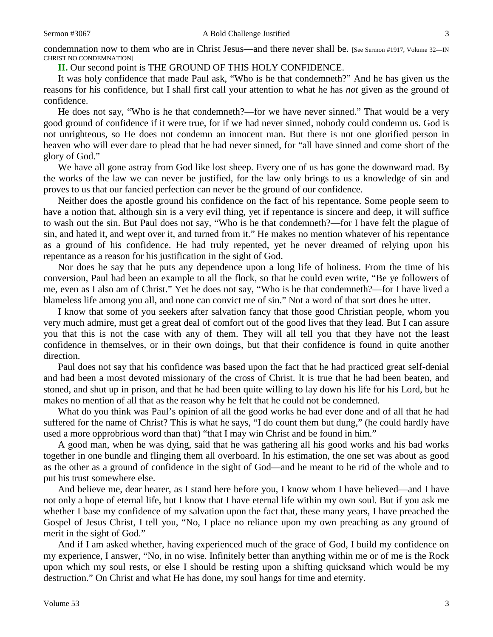condemnation now to them who are in Christ Jesus—and there never shall be. [See Sermon #1917, Volume 32—IN CHRIST NO CONDEMNATION]

**II.** Our second point is THE GROUND OF THIS HOLY CONFIDENCE.

It was holy confidence that made Paul ask, "Who is he that condemneth?" And he has given us the reasons for his confidence, but I shall first call your attention to what he has *not* given as the ground of confidence.

He does not say, "Who is he that condemneth?—for we have never sinned." That would be a very good ground of confidence if it were true, for if we had never sinned, nobody could condemn us. God is not unrighteous, so He does not condemn an innocent man. But there is not one glorified person in heaven who will ever dare to plead that he had never sinned, for "all have sinned and come short of the glory of God."

We have all gone astray from God like lost sheep. Every one of us has gone the downward road. By the works of the law we can never be justified, for the law only brings to us a knowledge of sin and proves to us that our fancied perfection can never be the ground of our confidence.

Neither does the apostle ground his confidence on the fact of his repentance. Some people seem to have a notion that, although sin is a very evil thing, yet if repentance is sincere and deep, it will suffice to wash out the sin. But Paul does not say, "Who is he that condemneth?—for I have felt the plague of sin, and hated it, and wept over it, and turned from it." He makes no mention whatever of his repentance as a ground of his confidence. He had truly repented, yet he never dreamed of relying upon his repentance as a reason for his justification in the sight of God.

Nor does he say that he puts any dependence upon a long life of holiness. From the time of his conversion, Paul had been an example to all the flock, so that he could even write, "Be ye followers of me, even as I also am of Christ." Yet he does not say, "Who is he that condemneth?—for I have lived a blameless life among you all, and none can convict me of sin." Not a word of that sort does he utter.

I know that some of you seekers after salvation fancy that those good Christian people, whom you very much admire, must get a great deal of comfort out of the good lives that they lead. But I can assure you that this is not the case with any of them. They will all tell you that they have not the least confidence in themselves, or in their own doings, but that their confidence is found in quite another direction.

Paul does not say that his confidence was based upon the fact that he had practiced great self-denial and had been a most devoted missionary of the cross of Christ. It is true that he had been beaten, and stoned, and shut up in prison, and that he had been quite willing to lay down his life for his Lord*,* but he makes no mention of all that as the reason why he felt that he could not be condemned.

What do you think was Paul's opinion of all the good works he had ever done and of all that he had suffered for the name of Christ? This is what he says, "I do count them but dung," (he could hardly have used a more opprobrious word than that) "that I may win Christ and be found in him."

A good man, when he was dying, said that he was gathering all his good works and his bad works together in one bundle and flinging them all overboard. In his estimation, the one set was about as good as the other as a ground of confidence in the sight of God—and he meant to be rid of the whole and to put his trust somewhere else.

And believe me, dear hearer, as I stand here before you, I know whom I have believed—and I have not only a hope of eternal life, but I know that I have eternal life within my own soul. But if you ask me whether I base my confidence of my salvation upon the fact that, these many years, I have preached the Gospel of Jesus Christ, I tell you, "No, I place no reliance upon my own preaching as any ground of merit in the sight of God."

And if I am asked whether, having experienced much of the grace of God, I build my confidence on my experience, I answer, "No, in no wise. Infinitely better than anything within me or of me is the Rock upon which my soul rests, or else I should be resting upon a shifting quicksand which would be my destruction." On Christ and what He has done, my soul hangs for time and eternity.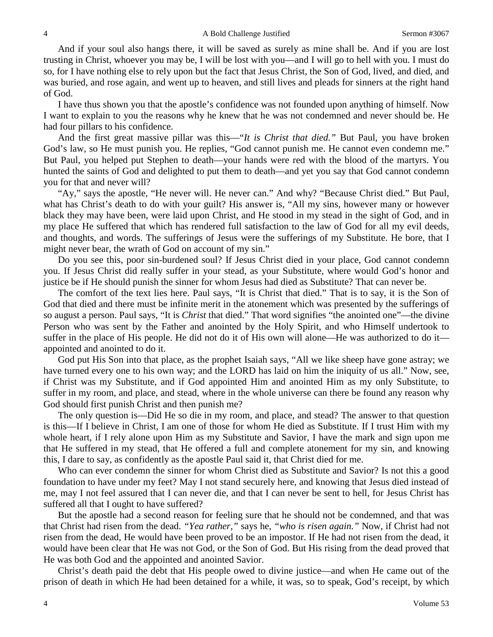And if your soul also hangs there, it will be saved as surely as mine shall be. And if you are lost trusting in Christ, whoever you may be, I will be lost with you—and I will go to hell with you. I must do so, for I have nothing else to rely upon but the fact that Jesus Christ, the Son of God, lived, and died, and was buried, and rose again, and went up to heaven, and still lives and pleads for sinners at the right hand of God.

I have thus shown you that the apostle's confidence was not founded upon anything of himself. Now I want to explain to you the reasons why he knew that he was not condemned and never should be. He had four pillars to his confidence.

And the first great massive pillar was this—"*It is Christ that died."* But Paul, you have broken God's law, so He must punish you. He replies, "God cannot punish me. He cannot even condemn me." But Paul, you helped put Stephen to death—your hands were red with the blood of the martyrs. You hunted the saints of God and delighted to put them to death—and yet you say that God cannot condemn you for that and never will?

"Ay," says the apostle, "He never will. He never can." And why? "Because Christ died." But Paul, what has Christ's death to do with your guilt? His answer is, "All my sins, however many or however black they may have been, were laid upon Christ, and He stood in my stead in the sight of God, and in my place He suffered that which has rendered full satisfaction to the law of God for all my evil deeds, and thoughts, and words. The sufferings of Jesus were the sufferings of my Substitute. He bore, that I might never bear, the wrath of God on account of my sin."

Do you see this, poor sin-burdened soul? If Jesus Christ died in your place, God cannot condemn you. If Jesus Christ did really suffer in your stead, as your Substitute, where would God's honor and justice be if He should punish the sinner for whom Jesus had died as Substitute? That can never be.

The comfort of the text lies here. Paul says, "It is Christ that died." That is to say, it is the Son of God that died and there must be infinite merit in the atonement which was presented by the sufferings of so august a person. Paul says, "It is *Christ* that died." That word signifies "the anointed one"—the divine Person who was sent by the Father and anointed by the Holy Spirit, and who Himself undertook to suffer in the place of His people. He did not do it of His own will alone—He was authorized to do it appointed and anointed to do it.

God put His Son into that place, as the prophet Isaiah says, "All we like sheep have gone astray; we have turned every one to his own way; and the LORD has laid on him the iniquity of us all." Now, see, if Christ was my Substitute, and if God appointed Him and anointed Him as my only Substitute, to suffer in my room, and place, and stead, where in the whole universe can there be found any reason why God should first punish Christ and then punish me?

The only question is—Did He so die in my room, and place, and stead? The answer to that question is this—If I believe in Christ, I am one of those for whom He died as Substitute. If I trust Him with my whole heart, if I rely alone upon Him as my Substitute and Savior, I have the mark and sign upon me that He suffered in my stead, that He offered a full and complete atonement for my sin, and knowing this, I dare to say, as confidently as the apostle Paul said it, that Christ died for me.

Who can ever condemn the sinner for whom Christ died as Substitute and Savior? Is not this a good foundation to have under my feet? May I not stand securely here, and knowing that Jesus died instead of me, may I not feel assured that I can never die, and that I can never be sent to hell, for Jesus Christ has suffered all that I ought to have suffered?

But the apostle had a second reason for feeling sure that he should not be condemned, and that was that Christ had risen from the dead. *"Yea rather,"* says he, *"who is risen again."* Now, if Christ had not risen from the dead, He would have been proved to be an impostor. If He had not risen from the dead, it would have been clear that He was not God, or the Son of God. But His rising from the dead proved that He was both God and the appointed and anointed Savior.

Christ's death paid the debt that His people owed to divine justice—and when He came out of the prison of death in which He had been detained for a while, it was, so to speak, God's receipt, by which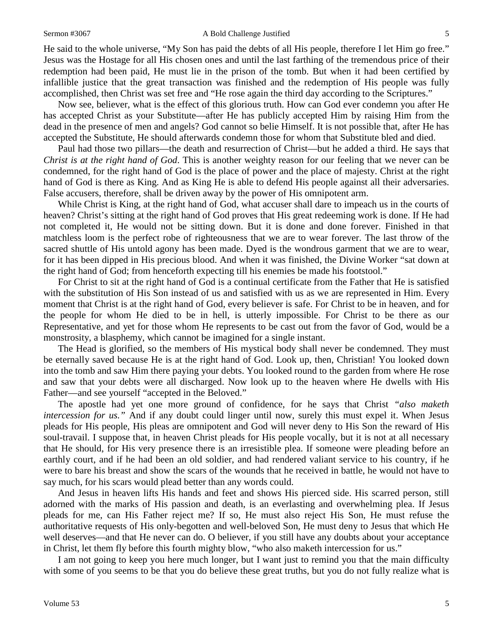#### Sermon #3067 **A Bold Challenge Justified** 5

He said to the whole universe, "My Son has paid the debts of all His people, therefore I let Him go free." Jesus was the Hostage for all His chosen ones and until the last farthing of the tremendous price of their redemption had been paid, He must lie in the prison of the tomb. But when it had been certified by infallible justice that the great transaction was finished and the redemption of His people was fully accomplished, then Christ was set free and "He rose again the third day according to the Scriptures."

Now see, believer, what is the effect of this glorious truth. How can God ever condemn you after He has accepted Christ as your Substitute—after He has publicly accepted Him by raising Him from the dead in the presence of men and angels? God cannot so belie Himself. It is not possible that, after He has accepted the Substitute, He should afterwards condemn those for whom that Substitute bled and died.

Paul had those two pillars—the death and resurrection of Christ—but he added a third. He says that *Christ is at the right hand of God*. This is another weighty reason for our feeling that we never can be condemned, for the right hand of God is the place of power and the place of majesty. Christ at the right hand of God is there as King. And as King He is able to defend His people against all their adversaries. False accusers, therefore, shall be driven away by the power of His omnipotent arm.

While Christ is King, at the right hand of God, what accuser shall dare to impeach us in the courts of heaven? Christ's sitting at the right hand of God proves that His great redeeming work is done. If He had not completed it, He would not be sitting down. But it is done and done forever. Finished in that matchless loom is the perfect robe of righteousness that we are to wear forever. The last throw of the sacred shuttle of His untold agony has been made. Dyed is the wondrous garment that we are to wear, for it has been dipped in His precious blood. And when it was finished, the Divine Worker "sat down at the right hand of God; from henceforth expecting till his enemies be made his footstool."

For Christ to sit at the right hand of God is a continual certificate from the Father that He is satisfied with the substitution of His Son instead of us and satisfied with us as we are represented in Him. Every moment that Christ is at the right hand of God, every believer is safe. For Christ to be in heaven, and for the people for whom He died to be in hell, is utterly impossible. For Christ to be there as our Representative, and yet for those whom He represents to be cast out from the favor of God, would be a monstrosity, a blasphemy, which cannot be imagined for a single instant.

The Head is glorified, so the members of His mystical body shall never be condemned. They must be eternally saved because He is at the right hand of God. Look up, then, Christian! You looked down into the tomb and saw Him there paying your debts. You looked round to the garden from where He rose and saw that your debts were all discharged. Now look up to the heaven where He dwells with His Father—and see yourself "accepted in the Beloved."

The apostle had yet one more ground of confidence, for he says that Christ *"also maketh intercession for us."* And if any doubt could linger until now, surely this must expel it. When Jesus pleads for His people, His pleas are omnipotent and God will never deny to His Son the reward of His soul-travail. I suppose that, in heaven Christ pleads for His people vocally, but it is not at all necessary that He should, for His very presence there is an irresistible plea. If someone were pleading before an earthly court, and if he had been an old soldier, and had rendered valiant service to his country, if he were to bare his breast and show the scars of the wounds that he received in battle, he would not have to say much, for his scars would plead better than any words could.

And Jesus in heaven lifts His hands and feet and shows His pierced side. His scarred person, still adorned with the marks of His passion and death, is an everlasting and overwhelming plea. If Jesus pleads for me, can His Father reject me? If so, He must also reject His Son, He must refuse the authoritative requests of His only-begotten and well-beloved Son, He must deny to Jesus that which He well deserves—and that He never can do. O believer, if you still have any doubts about your acceptance in Christ, let them fly before this fourth mighty blow, "who also maketh intercession for us."

I am not going to keep you here much longer, but I want just to remind you that the main difficulty with some of you seems to be that you do believe these great truths, but you do not fully realize what is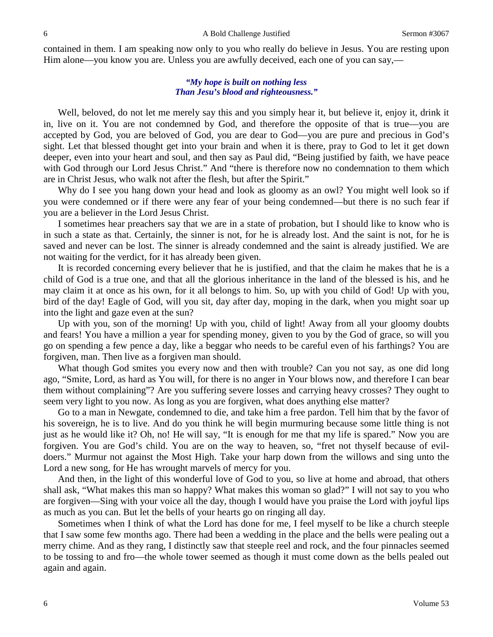contained in them. I am speaking now only to you who really do believe in Jesus. You are resting upon Him alone—you know you are. Unless you are awfully deceived, each one of you can say,—

#### *"My hope is built on nothing less Than Jesu's blood and righteousness."*

Well, beloved, do not let me merely say this and you simply hear it, but believe it, enjoy it, drink it in, live on it. You are not condemned by God, and therefore the opposite of that is true—you are accepted by God, you are beloved of God, you are dear to God—you are pure and precious in God's sight. Let that blessed thought get into your brain and when it is there, pray to God to let it get down deeper, even into your heart and soul, and then say as Paul did, "Being justified by faith, we have peace with God through our Lord Jesus Christ." And "there is therefore now no condemnation to them which are in Christ Jesus, who walk not after the flesh, but after the Spirit."

Why do I see you hang down your head and look as gloomy as an owl? You might well look so if you were condemned or if there were any fear of your being condemned—but there is no such fear if you are a believer in the Lord Jesus Christ.

I sometimes hear preachers say that we are in a state of probation, but I should like to know who is in such a state as that. Certainly, the sinner is not, for he is already lost. And the saint is not, for he is saved and never can be lost. The sinner is already condemned and the saint is already justified. We are not waiting for the verdict, for it has already been given.

It is recorded concerning every believer that he is justified, and that the claim he makes that he is a child of God is a true one, and that all the glorious inheritance in the land of the blessed is his, and he may claim it at once as his own, for it all belongs to him. So, up with you child of God! Up with you, bird of the day! Eagle of God, will you sit, day after day, moping in the dark, when you might soar up into the light and gaze even at the sun?

Up with you, son of the morning! Up with you, child of light! Away from all your gloomy doubts and fears! You have a million a year for spending money, given to you by the God of grace, so will you go on spending a few pence a day, like a beggar who needs to be careful even of his farthings? You are forgiven, man. Then live as a forgiven man should.

What though God smites you every now and then with trouble? Can you not say, as one did long ago, "Smite, Lord, as hard as You will, for there is no anger in Your blows now, and therefore I can bear them without complaining"? Are you suffering severe losses and carrying heavy crosses? They ought to seem very light to you now. As long as you are forgiven, what does anything else matter?

Go to a man in Newgate, condemned to die, and take him a free pardon. Tell him that by the favor of his sovereign, he is to live. And do you think he will begin murmuring because some little thing is not just as he would like it? Oh, no! He will say, "It is enough for me that my life is spared." Now you are forgiven. You are God's child. You are on the way to heaven, so, "fret not thyself because of evildoers." Murmur not against the Most High. Take your harp down from the willows and sing unto the Lord a new song, for He has wrought marvels of mercy for you.

And then, in the light of this wonderful love of God to you, so live at home and abroad, that others shall ask, "What makes this man so happy? What makes this woman so glad?" I will not say to you who are forgiven—Sing with your voice all the day, though I would have you praise the Lord with joyful lips as much as you can. But let the bells of your hearts go on ringing all day.

Sometimes when I think of what the Lord has done for me, I feel myself to be like a church steeple that I saw some few months ago. There had been a wedding in the place and the bells were pealing out a merry chime. And as they rang, I distinctly saw that steeple reel and rock, and the four pinnacles seemed to be tossing to and fro—the whole tower seemed as though it must come down as the bells pealed out again and again.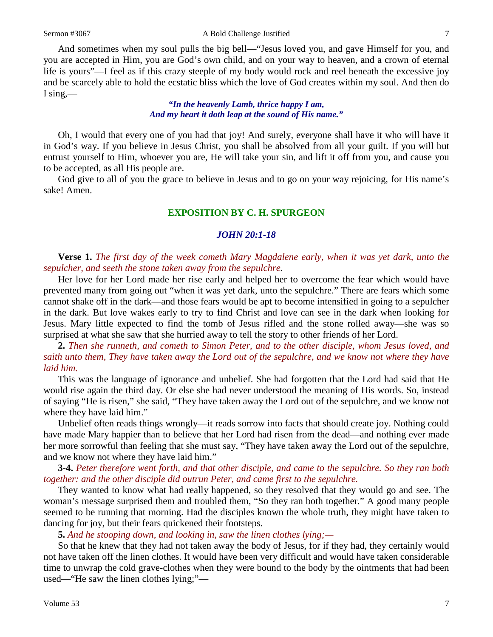And sometimes when my soul pulls the big bell—"Jesus loved you, and gave Himself for you, and you are accepted in Him, you are God's own child, and on your way to heaven, and a crown of eternal life is yours"—I feel as if this crazy steeple of my body would rock and reel beneath the excessive joy and be scarcely able to hold the ecstatic bliss which the love of God creates within my soul. And then do I sing,—

#### *"In the heavenly Lamb, thrice happy I am, And my heart it doth leap at the sound of His name."*

Oh, I would that every one of you had that joy! And surely, everyone shall have it who will have it in God's way. If you believe in Jesus Christ, you shall be absolved from all your guilt. If you will but entrust yourself to Him, whoever you are, He will take your sin, and lift it off from you, and cause you to be accepted, as all His people are.

God give to all of you the grace to believe in Jesus and to go on your way rejoicing, for His name's sake! Amen.

### **EXPOSITION BY C. H. SPURGEON**

#### *JOHN 20:1-18*

**Verse 1.** *The first day of the week cometh Mary Magdalene early, when it was yet dark, unto the sepulcher, and seeth the stone taken away from the sepulchre.*

Her love for her Lord made her rise early and helped her to overcome the fear which would have prevented many from going out "when it was yet dark, unto the sepulchre." There are fears which some cannot shake off in the dark—and those fears would be apt to become intensified in going to a sepulcher in the dark. But love wakes early to try to find Christ and love can see in the dark when looking for Jesus. Mary little expected to find the tomb of Jesus rifled and the stone rolled away—she was so surprised at what she saw that she hurried away to tell the story to other friends of her Lord.

**2.** *Then she runneth, and cometh to Simon Peter, and to the other disciple, whom Jesus loved, and saith unto them, They have taken away the Lord out of the sepulchre, and we know not where they have laid him.*

This was the language of ignorance and unbelief. She had forgotten that the Lord had said that He would rise again the third day. Or else she had never understood the meaning of His words. So, instead of saying "He is risen," she said, "They have taken away the Lord out of the sepulchre, and we know not where they have laid him."

Unbelief often reads things wrongly—it reads sorrow into facts that should create joy. Nothing could have made Mary happier than to believe that her Lord had risen from the dead—and nothing ever made her more sorrowful than feeling that she must say, "They have taken away the Lord out of the sepulchre, and we know not where they have laid him."

#### **3-4.** *Peter therefore went forth, and that other disciple, and came to the sepulchre. So they ran both together: and the other disciple did outrun Peter, and came first to the sepulchre.*

They wanted to know what had really happened, so they resolved that they would go and see. The woman's message surprised them and troubled them, "So they ran both together." A good many people seemed to be running that morning. Had the disciples known the whole truth, they might have taken to dancing for joy, but their fears quickened their footsteps.

#### **5.** *And he stooping down, and looking in, saw the linen clothes lying;—*

So that he knew that they had not taken away the body of Jesus, for if they had, they certainly would not have taken off the linen clothes. It would have been very difficult and would have taken considerable time to unwrap the cold grave-clothes when they were bound to the body by the ointments that had been used—"He saw the linen clothes lying;"—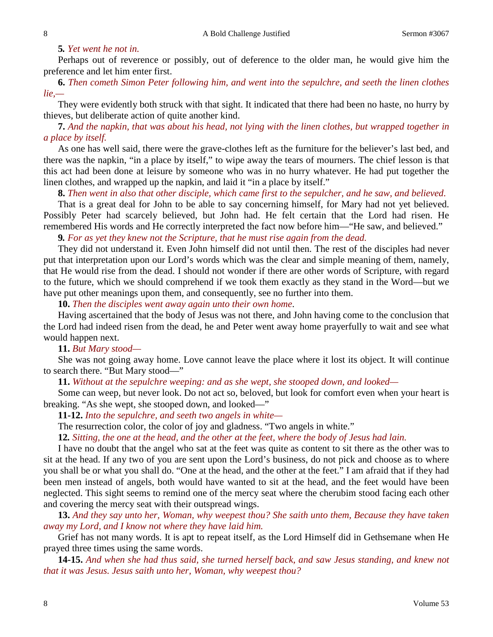#### **5***. Yet went he not in.*

Perhaps out of reverence or possibly, out of deference to the older man, he would give him the preference and let him enter first.

**6.** *Then cometh Simon Peter following him, and went into the sepulchre, and seeth the linen clothes lie,—*

They were evidently both struck with that sight. It indicated that there had been no haste, no hurry by thieves, but deliberate action of quite another kind.

**7.** *And the napkin, that was about his head, not lying with the linen clothes, but wrapped together in a place by itself.*

As one has well said, there were the grave-clothes left as the furniture for the believer's last bed, and there was the napkin, "in a place by itself," to wipe away the tears of mourners. The chief lesson is that this act had been done at leisure by someone who was in no hurry whatever. He had put together the linen clothes, and wrapped up the napkin, and laid it "in a place by itself."

**8.** *Then went in also that other disciple, which came first to the sepulcher, and he saw, and believed.*

That is a great deal for John to be able to say concerning himself, for Mary had not yet believed. Possibly Peter had scarcely believed, but John had. He felt certain that the Lord had risen. He remembered His words and He correctly interpreted the fact now before him—"He saw, and believed."

**9***. For as yet they knew not the Scripture, that he must rise again from the dead.*

They did not understand it. Even John himself did not until then. The rest of the disciples had never put that interpretation upon our Lord's words which was the clear and simple meaning of them, namely, that He would rise from the dead. I should not wonder if there are other words of Scripture, with regard to the future, which we should comprehend if we took them exactly as they stand in the Word—but we have put other meanings upon them, and consequently, see no further into them.

**10.** *Then the disciples went away again unto their own home*.

Having ascertained that the body of Jesus was not there, and John having come to the conclusion that the Lord had indeed risen from the dead, he and Peter went away home prayerfully to wait and see what would happen next.

**11.** *But Mary stood—*

She was not going away home. Love cannot leave the place where it lost its object. It will continue to search there. "But Mary stood—"

**11.** *Without at the sepulchre weeping: and as she wept, she stooped down, and looked—*

Some can weep, but never look. Do not act so, beloved, but look for comfort even when your heart is breaking. "As she wept, she stooped down, and looked—"

**11-12.** *Into the sepulchre, and seeth two angels in white—*

The resurrection color, the color of joy and gladness. "Two angels in white."

**12***. Sitting, the one at the head, and the other at the feet, where the body of Jesus had lain.*

I have no doubt that the angel who sat at the feet was quite as content to sit there as the other was to sit at the head. If any two of you are sent upon the Lord's business, do not pick and choose as to where you shall be or what you shall do. "One at the head, and the other at the feet." I am afraid that if they had been men instead of angels, both would have wanted to sit at the head, and the feet would have been neglected. This sight seems to remind one of the mercy seat where the cherubim stood facing each other and covering the mercy seat with their outspread wings.

**13.** *And they say unto her, Woman, why weepest thou? She saith unto them, Because they have taken away my Lord, and I know not where they have laid him.*

Grief has not many words. It is apt to repeat itself, as the Lord Himself did in Gethsemane when He prayed three times using the same words.

**14-15.** *And when she had thus said, she turned herself back, and saw Jesus standing, and knew not that it was Jesus. Jesus saith unto her, Woman, why weepest thou?*